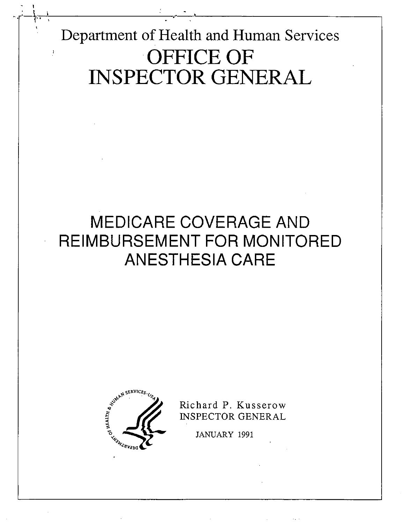Department of Health and Human Services OFFICE OF INSPECTOR GENERAL

# MEDICARE COVERAGE AND REIMBURSEMENT FOR MONITORED ANESTHESIA CARE



Richard P. Kusserow INSPECTOR GENERAL

JANUARY 1991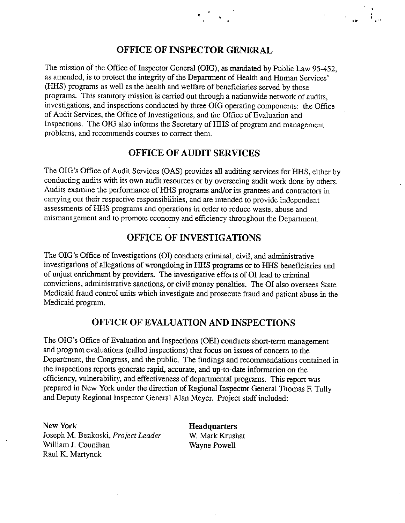## OFFICE OF INSPECTOR GENERAL

The mission of the Office of Inspector General (OIG), as mandated by Public Law 95-452, as amended, is to protect the integrity of the Department of Health and Human Services' (HHS) programs as well as the health and welfare of beneficiaries served by those programs. This statutory mission is carried out through a nationwide network of audits, investigations, and inspections conducted by three OIG operating components: the Office of Audit Services, the Office of Investigations, and the Office of Evaluation and Inspections. The OIG also informs the Secretary of HHS of program and management problems, and recommends courses to correct them.

## OFFICE OF AUDIT SERVICES

The OIG's Office of Audit Services (OAS) provides all auditing services for HHS, either by conducting audits with its own audit resources or by overseeing audit work done by others. Audits examine the performance of HHS programs and/or its grantees and contractors in carrying out their respective responsibilities, and are intended to provide independent assessments of HHS programs and operations in order to reduce waste, abuse and mismanagement and to promote economy and efficiency throughout the Department.

## OFFICE OF INVESTIGATIONS

The OIG's Office of Investigations (OI) conducts criminal, civil, and administrative investigations of allegations of wrongdoing in HHS programs or to HHS beneficiaries and of unjust enrchment by providers. The investigative effons of 01 lead to crinal convictions, administrative sanctions, or civil money penalties. The OI also oversees State Medicaid fraud control units which investigate and prosecute fraud and patient abuse in the Medicaid program.

## OFFICE OF EVALUATION AND INSPECTIONS

The OIG's Office of Evaluation and Inspections (OEI) conducts short-term management and program evaluations (called inspections) that focus on issues of concern to the Department, the Congress, and the public. The findings and recommendations contained in the inspections repons generate rapid, accurate, and up-to-date information on the efficiency, vulnerability, and effectiveness of departmental programs. This report was prepared in New York under the direction of Regional Inspector General Thomas F. Tully and Deputy Regional Inspector General Alan Meyer. Project staff included:

New York **Headquarters** Joseph M. Benkoski, Project Leader W. Mark Krushat William J. Counihan Wayne Powell Raul K. Martynek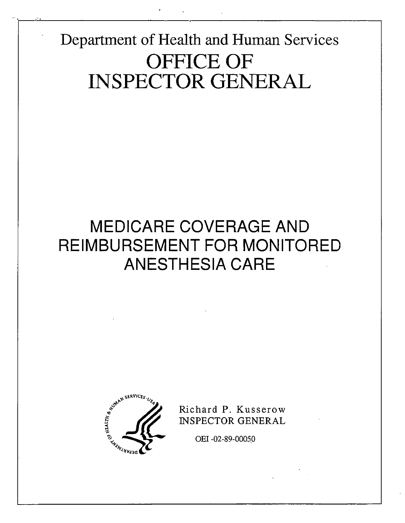Department of Health and Human Services OFFICE OF INSPECTOR GENERAL

# MEDICARE COVERAGE AND REIMBURSEMENT FOR MONITORED ANESTHESIA CARE



Richard P. Kusserow INSPECTOR GENERAL

OEI -02-89-00050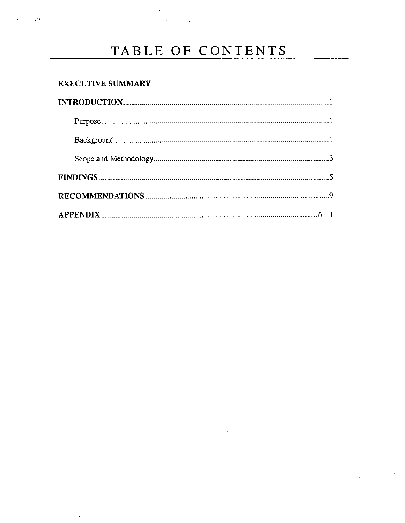## TABLE OF CONTENTS

 $\sim 10^{11}$   $\mu$ 

## **EXECUTIVE SUMMARY**

 $\sim$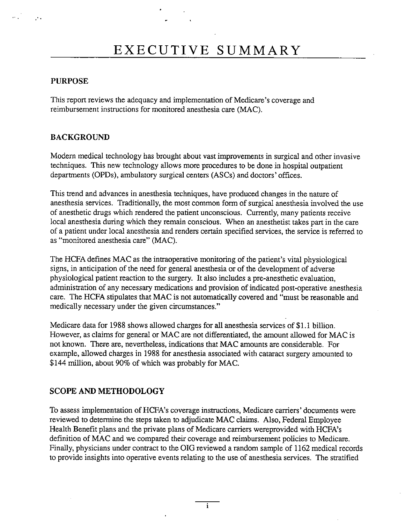#### PURPOSE

 $\mathcal{P}_{\mathcal{A}}$ 

This report reviews the adequacy and implementation of Medicare's coverage and reimbursement instructions for monitored anesthesia care (MAC).

## BACKGROUND

Modern medical technology has brought about vast improvements in surgical and other invasive techniques. This new technology allows more procedures to be done in hospital outpatient departments (OPDs), ambulatory surgical centers (ASCs) and doctors' offices.

This trend and advances in anesthesia techniques, have produced changes in the nature of anesthesia services. Traditionally, the most common form of surgical anesthesia involved the use of anesthetic drugs which rendered the patient unconscious. Curently, many patients receive local anesthesia during which they remain conscious. When an anesthetist takes part in the care of a patient under local anesthesia and renders cenan specified services, the service is referred to as "monitored anesthesia care" (MAC).

The HCFA defines MAC as the intraoperative monitoring of the patient's vital physiological signs, in anticipation of the need for general anesthesia or of the development of adverse physiological patient reaction to the surgery. It also includes a pre-anesthetic evaluation administration of any necessary medications and provision of indicated post-operative anesthesia care. The HCFA stipulates that MAC is not automatically covered and "must be reasonable and medically necessary under the given circumstances."

Medicare data for 1988 shows allowed charges for all anesthesia services of \$1.1 billion. However, as claims for general or MAC are not differentiated, the amount allowed for MAC is not known. There are, nevenheless, indications that MAC amounts are considerable. For example, alowed charges in 1988 for anesthesia associated with cataract surgery amounted to \$144 million, about 90% of which was probably for MAC.

## SCOPE AND METHODOLOGY

To assess implementation of HCFA's coverage instructions, Medicare carriers' documents were reviewed to determine the steps taken to adjudicate MAC claims. Also, Federal Employee Health Benefit plans and the private plans of Medicare carriers wereprovided with HCFA's definition of MAC and we compared their coverage and reimbursement policies to Medicare. Finally, physicians under contract to the OIG reviewed a random sample of 1162 medical records to provide insights into operative events relating to the use of anesthesia services. The stratified

 $\overline{\mathbf{i}}$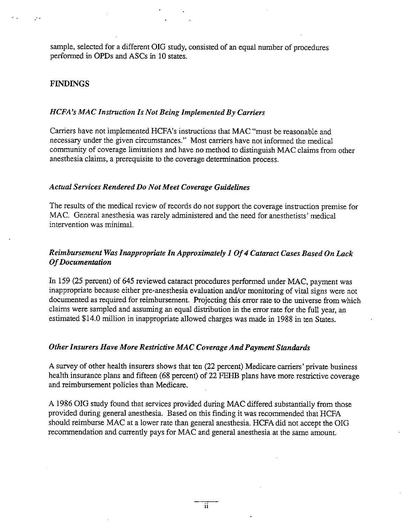sample, selected for a different OIG study, consisted of an equal number of procedures performed in OPDs and ASCs in 10 states.

#### FINDINGS

#### HCFA's MAC Instruction Is Not Being Implemented By Carriers

Carriers have not implemented HCFA's instructions that MAC "must be reasonable and necessary under the given circumstances." Most carriers have not informed the medical community of coverage limitations and have no method to distinguish MAC claims from other anesthesia claims, a prerequisite to the coverage determination process.

#### Actual Services Rendered Do Not Meet Coverage Guidelines

The results of the medical review of records do not support the coverage instruction premise for MAC. General anesthesia was rarely administered and the need for anesthetists ' medical intervention was minimal.

## Reimbursement Was Inappropriate In Approximately I Of Cataract Cases Based On Lack Of Documentation

In 159 (25 percent) of 645 reviewed cataract procedures performed under MAC, payment was inappropriate because either pre-anesthesia evaluation and/or monitoring of vital signs were not documented as required for reimbursement. Projecting this error rate to the universe from which claims were sampled and assuming an equal distrbution in the error rate for the full year, an estimated \$14.0 milion in inappropriate allowed charges was made in 1988 in ten States.

## Other Insurers Have More Restrictive MAC Coverage And Payment Standards

A survey of other health insurers shows that ten (22 percent) Medicare carriers' private business health insurance plans and fifteen (68 percent) of 22 FEHB plans have more restrictive coverage and reimbursement policies than Medicare.

A 1986 OIG study found that services provided during MAC differed substantially from those provided during general anesthesia. Based on this finding it was recommended that HCFA should reimburse MAC at a lower rate than general anesthesia. HCFA did not accept the OIG recommendation and currently pays for MAC and general anesthesia at the same amount.

ïΪ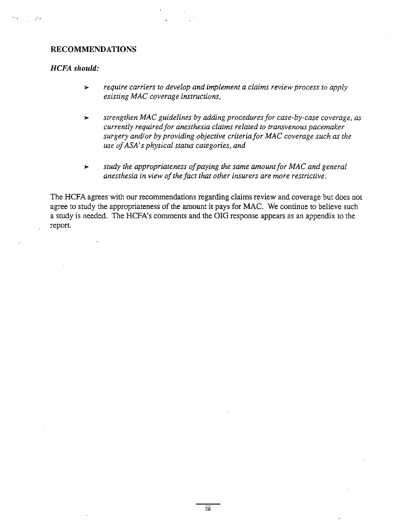#### RECOMMENDATIONS

#### HCFA should:

- require carriers to develop and implement a claims review process to apply  $\blacktriangleright$ existing MAC coverage instructions,
- strengthen MAC guidelines by adding procedures for case-by-case coverage, as  $\blacktriangleright$ currently required for anesthesia claims related to transvenous pacemaker surgery and/or by providing objective criteria for MAC coverage such as the use of ASA's physical status categories, and
- study the appropriateness of paying the same amount for MAC and general  $\blacktriangleright$ anesthesia in view of the fact that other insurers are more restrictive,

The HCFA agrees with our recommendations regarding claims review and coverage but does not agree to study the appropriateness of the amount it pays for MAC. We continue to believe such a study is needed. The HCFA's comments and the OIG response appears as an appendix to the report.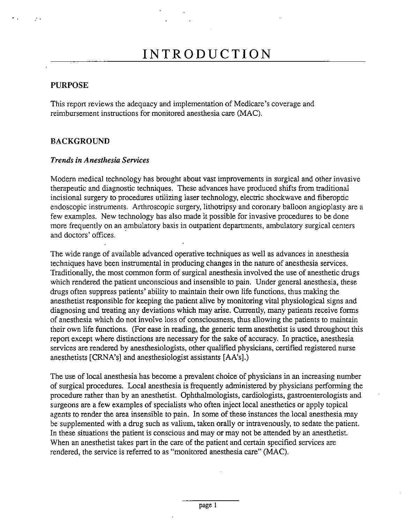#### PURPOSE

This report reviews the adequacy and implementation of Medicare's coverage and reimbursement instructions for monitored anesthesia care (MAC).

#### BACKGROUND

#### Trends in Anesthesia Services

Modern medical technology has brought about vast improvements in surgical and other invasive therapeutic and diagnostic techniques. These advances have produced shifts from traditional incisional surgery to procedures utilizing laser technology, electric shockwave and fiberoptic endoscopic instruments. Arthroscopic surgery, lithotripsy and coronary balloon angioplasty are a few examples. New technology has also made it possible for invasive procedures to be done more frequently on an ambulatory basis in outpatient deparments, ambulatory surgical centers and doctors' offices.

The wide range of available advanced operative techniques as well as advances in anesthesia techniques have been instrumental in producing changes in the nature of anesthesia services. Traditionally, the most common form of surgical anesthesia involved the use of anesthetic drugs which rendered the patient unconscious and insensible to pain. Under general anesthesia, these drugs often suppress patients' ability to maintain their own life functions, thus making the anesthetist responsible for keeping the patient alive by monitoring vital physiological signs and diagnosing and treating any deviations which may arise. Currently, many patients receive forms of anesthesia which do not involve loss of consciousness, thus allowing the patients to maintain their own life functions. (For ease in reading, the generic term anesthetist is used thoughout this report except where distinctions are necessary for the sake of accuracy. In practice, anesthesia services are rendered by anesthesiologists, other qualified physicians, certified registered nurse anesthetists (CRNA's) and anesthesiologist assistants (AA's).

The use of local anesthesia has become a prevalent choice of physicians in an increasing number of surgical procedures. Local anesthesia is frequently administered by physicians performing the procedure rather than by an anesthetist. Ophthalmologists, cardiologists, gastroenterologists and surgeons are a few examples of specialists who often inject local anesthetics or apply topical agents to render the area insensible to pain. In some of these instances the local anesthesia may be supplemented with a drug such as valium, taken orally or intravenously, to sedate the patient. In these situations the patient is conscious and mayor may not be attended by an anesthetist. When an anesthetist takes part in the care of the patient and certain specified services are rendered, the service is referred to as "monitored anesthesia care" (MAC).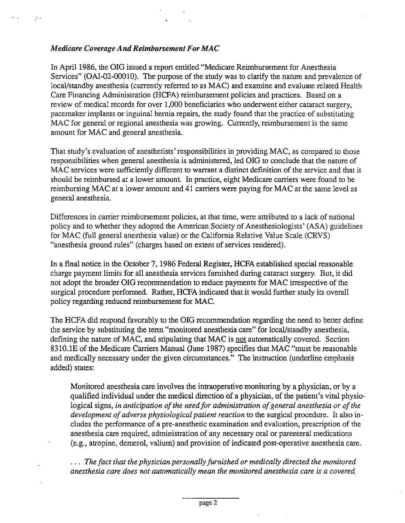#### Medicare Coverage And Reimbursement For MAC

 $\mathcal{P}$  .

In April 1986, the OIG issued a report entitled "Medicare Reimbursement for Anesthesia Services" (OAI-02-00010). The purpose of the study was to clarify the nature and prevalence of local/standby anesthesia (currently referred to as MAC) and examine and evaluate related Health Care Financing Administration (HCFA) reimbursement policies and practices. Based on a review of medical records for over 1,000 beneficiaries who underwent either cataract surgery, pacemaker implants or inguinal hernia repairs, the study found that the practice of substituting MAC for general or regional anesthesia was growing. Currently, reimbursement is the same amount for MAC and general anesthesia.

That study's evaluation of anesthetists' responsibilities in providing MAC, as compared to those responsibilities when general anesthesia is administered, led OIG to conclude that the nature of MAC services were sufficiently different to warrant a distinct definition of the service and that it should be reimbursed at a lower amount. In practice, eight Medicare carriers were found to be reimbursing MAC at a lower amount and 41 carriers were paying for MAC at the same level as general anesthesia.

Differences in carrier reimbursement policies, at that time, were attributed to a lack of national policy and to whether they adopted the American Society of Anesthesiologists' (ASA) guidelines for MAC (full general anesthesia value) or the California Relative Value Scale (CRVS) anesthesia ground rules" (charges based on extent of services rendered).

In a final notice in the October 7, 1986 Federal Register, HCFA established special reasonable charge payment limits for all anesthesia services furnished during cataract surgery. But, it did not adopt the broader OIG recommendation to reduce payments for MAC irespective of the surgical procedure performed. Rather, HCFA indicated that it would funher study its overall policy regarding reduced reimbursement for MAC.

The HCFA did respond favorably to the OIG recommendation regarding the need to better define the service by substituting the term "monitored anesthesia care" for local/standby anesthesia, defining the nature of MAC, and stipulating that MAC is not automatically covered. Section 8310.1E of the Medicare Carriers Manual (June 1987) specifies that MAC "must be reasonable and medically necessary under the given circumstances." The instruction (underline emphasis added) states:

Monitored anesthesia care involves the intraoperative monitoring by a physician, or by a qualified individual under the medical direction of a physician, of the patient's vital physiological signs, in anticipation of the need for administration of general anesthesia or of the development of adverse physiological patient reaction to the surgical procedure. It also includes the performance of a pre-anesthetic examination and evaluation, prescription of the anesthesia care required, administration of any necessary oral or parenteral medications (e.g., atropine, demerol, valium) and provision of indicated post-operative anesthesia care.

... The fact that the physician personally furnished or medically directed the monitored anesthesia care does not automatically mean the monitored anesthesia care is a covered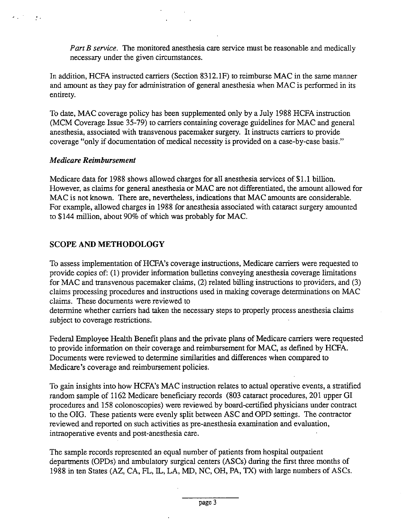Part B service. The monitored anesthesia care service must be reasonable and medically necessary under the given circumstances.

In addition, HCFA instructed carriers (Section 8312.1F) to reimburse MAC in the same manner and amount as they pay for administration of general anesthesia when MAC is performed in its entirety.

To date, MAC coverage policy has been supplemented only by a July 1988 HCFA instruction (MCM Coverage Issue 35-79) to carriers containing coverage guidelines for MAC and general anesthesia, associated with transvenous pacemaker surgery. It instructs carriers to provide coverage "only if documentation of medical necessity is provided on a case-by-case basis,

#### Medicare Reimbursement

 $\mathcal{L}_{\text{max}}(\mathcal{L}_{\text{max}})$ 

Medicare data for 1988 shows allowed charges for all anesthesia services of \$1.1 billon. However, as claims for general anesthesia or MAC are not differentiated, the amount allowed for MAC is not known. There are, nevertheless, indications that MAC amounts are considerable. For example, allowed charges in 1988 for anesthesia associated with cataract surgery amounted to \$144 milion, about 90% of which was probably for MAC.

## SCOPE AND METHODOLOGY

To assess implementation of HCFA's coverage instructions, Medicare carriers were requested to provide copies of: (1) provider information bulletis conveying anesthesia coverage limtations for MAC and transvenous pacemaker claims, (2) related billing instructions to providers, and (3) claims processing procedures and instructions used in makng coverage determnations on MAC claims. These documents were reviewed to

determine whether carriers had taken the necessary steps to properly process anesthesia claims subject to coverage restrictions.

Federal Employee Health Benefit plans and the private plans of Medicare carriers were requested to provide information on their coverage and reimbursement for MAC, as defined by HCFA. Documents were reviewed to determine similarities and differences when compared to Medicare's coverage and reimbursement policies.

To gain insights into how HCFA's MAC instruction relates to actual operative events, a stratified random sample of 1162 Medicare beneficiary records (803 cataract procedures, 201 upper GI procedures and 158 colonoscopies) were reviewed by board-cenified physicians under contract to the OIG. These patients were evenly split between ASC and OPD settngs. The contractor reviewed and reported on such activities as pre-anesthesia examination and evaluation, intraoperative events and post-anesthesia care.

The sample records represented an equal number of patients from hospital outpatient departments (OPDs) and ambulatory surgical centers (ASCs) during the first three months of 1988 in ten States (AZ, CA, FL, IL, LA , MD, NC, OH, PA, TX) with large numbers of ASCs.

 $\bullet$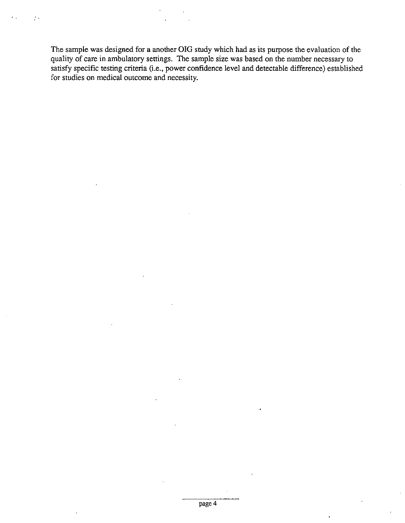The sample was designed for a another OIG study which had as its purpose the evaluation of the quality of care in ambulatory settings. The sample size was based on the number necessary to satisfy specific testing criteria (i.e., power confidence level and detectable difference) established for studies on medical outcome and necessity.

 $\mathcal{F}_{\mathcal{G}}$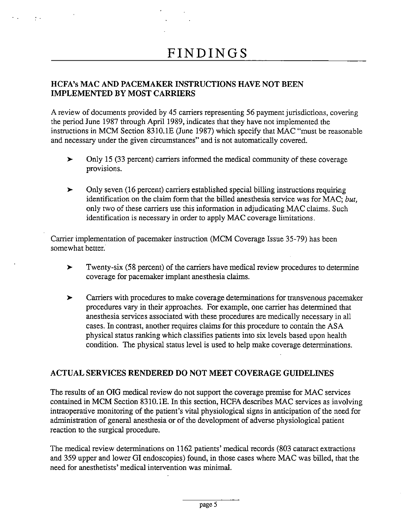## HCFA's MAC AND PACEMAKER INSTRUCTIONS HAVE NOT BEEN IMPLEMENTED BY MOST CARRIERS

 $\sigma$  .

A review of documents provided by 45 carriers representing 56 payment jurisdictions, covering the period June 1987 through April 1989, indicates that they have not implemented the instructions in MCM Section 8310.1E (June 1987) which specify that MAC "must be reasonable and necessary under the given circumstances" and is not automatically covered.

- $\blacktriangleright$ Only 15 (33 percent) carriers informed the medical community of these coverage provisions.
- Only seven (16 percent) carriers established special billing instructions requiring  $\blacktriangleright$ identification on the claim form that the billed anesthesia service was for MAC; but, only two of these carriers use this information in adjudicating MAC claims. Such identification is necessary in order to apply MAC coverage limitations.

Carrier implementation of pacemaker instruction (MCM Coverage Issue 35-79) has been somewhat better.

- $\blacktriangleright$ Twenty-six (58 percent) of the carriers have medical review procedures to determine coverage for pacemaker implant anesthesia claims.
- Carriers with procedures to make coverage determinations for transvenous pacemaker  $\blacktriangleright$ procedures vary in their approaches. For example, one carrier has determined that anesthesia services associated with these procedures are medically necessary in all cases. In contrast, another requires claims for this procedure to contain the ASA physical status ranking which classifies patients into six levels based upon health condition. The physical status level is used to help make coverage determinations.

## ACTUAL SERVICES RENDERED DO NOT MEET COVERAGE GUIDELINES

The results of an OIG medical review do not support the coverage premise for MAC services contained in MCM Section 831O. IE. In this section, HCFA describes MAC services as involving intraoperative monitoring of the patient's vital physiological signs in anticipation of the need for administration of general anesthesia or of the development of adverse physiological patient reaction to the surgical procedure.

The medical review determinations on 1162 patients' medical records (803 cataract extractions and 359 upper and lower GI endoscopies) found, in those cases where MAC was biled, that the need for anesthetists' medical intervention was minimal.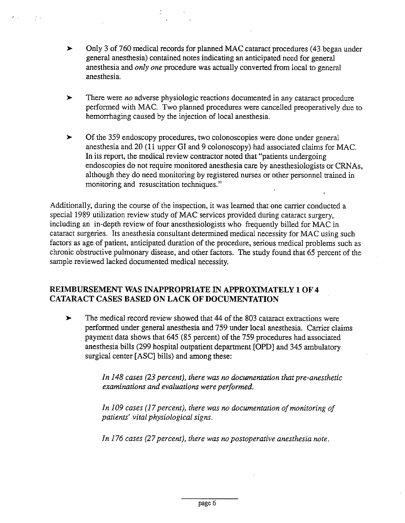Only 3 of 760 medical records for planned MAC cataract procedures (43 began under  $\blacktriangleright$ general anesthesia) contained notes indicating an anticipated need for general anesthesia and *only one* procedure was actually converted from local to general anesthesia.

 $\mathcal{F}_{\mathrm{out}}$ 

- $\blacktriangleright$ There were *no* adverse physiologic reactions documented in any cataract procedure performed with MAC. Two planned procedures were cancelled preoperatively due to hemorrhaging caused by the injection of local anesthesia.
- $\blacktriangleright$ Of the 359 endoscopy procedures, two colonoscopies were done under general anesthesia and 20 (11 upper GI and 9 colonoscopy) had associated claims for MAC. In its report, the medical review contractor noted that "patients undergoing endoscopies do not require monitored anesthesia care by anesthesiologists or CRNAs, although they do need monitoring by registered nurses or other personnel trained in monitoring and resuscitation techniques."

Additionally, during the course of the inspection, it was learned that one carrier conducted a special 1989 utilization review study of MAC services provided during cataract surgery, including an in-depth review of four anesthesiologists who frequently biled for MAC in cataract surgeries. Its anesthesia consultant determined medical necessity for MAC using such factors as age of patient, anticipated duration of the procedure, serious medical problems such as chronic obstructive pulmonary disease, and other factors. The study found that 65 percent of the sample reviewed lacked documented medical necessity.

## REIMBURSEMENT WAS INAPPROPRIATE IN APPROXIMATELY 1 OF 4 CATARACT CASES BASED ON LACK OF DOCUMENTATION

 $\blacktriangleright$ The medical record review showed that 44 of the 803 cataract extractions were performed under general anesthesia and 759 under local anesthesia. Carrier claims payment data shows that 645 (85 percent) of the 759 procedures had associated anesthesia bills (299 hospital outpatient department [OPD] and 345 ambulatory surgical center [ASC] bills) and among these:

> In 148 cases (23 percent), there was no documentation that pre-anesthetic examinations and evaluations were performed.

In 109 cases (17 percent), there was no documentation of monitoring of patients' vital physiological signs.

In 176 cases (27 percent), there was no postoperative anesthesia note.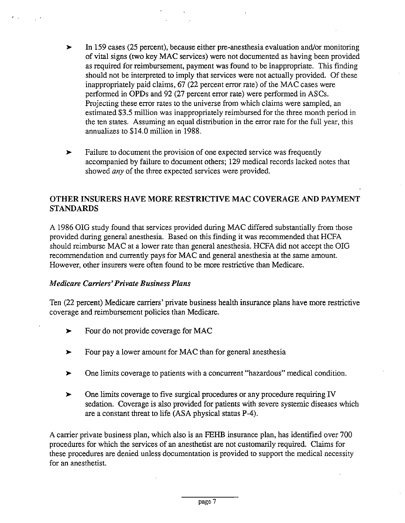- In 159 cases (25 percent), because either pre-anesthesia evaluation and/or monitoring  $\blacktriangleright$ of vital signs (two key MAC services) were not documented as having been provided as required for reimbursement, payment was found to be inappropriate. This finding should not be interpreted to imply that services were not actually provided. Of these inappropriately paid claims, 67 (22 percent error rate) of the MAC cases were perfonned in OPDs and 92 (27 percent error rate) were performed in ASCs. Projecting these error rates to the universe from which claims were sampled, an estimated \$3.5 million was inappropriately reimbursed for the three month period in the ten states. Assuming an equal distribution in the error rate for the full year, this annualizes to \$14.0 million in 1988.
- Failure to document the provision of one expected service was frequently  $\blacktriangleright$ accompanied by failure to document others; 129 medical records lacked notes that showed *any* of the three expected services were provided.

## OTHER INSURERS HAVE MORE RESTRICTIVE MAC COVERAGE AND PAYMENT STANDARDS

A 1986 OIG study found that services provided during MAC difered substantially from those provided during general anesthesia. Based on this finding it was recommended that HCFA should reimburse MAC at a lower rate than general anesthesia. HCFA did not accept the OIG recommendation and currently pays for MAC and general anesthesia at the same amount. However, other insurers were often found to be more restrictive than Medicare.

## Medicare Carriers' Private Business Plans

Ten (22 percent) Medicare carriers' private business health insurance plans have more restrictive coverage and reimbursement policies than Medicare.

- Four do not provide coverage for MAC  $\blacktriangleright$
- Four pay a lower amount for MAC than for general anesthesia  $\blacktriangleright$
- One limits coverage to patients with a concurent "hazardous" medical condition.  $\blacktriangleright$
- One limits coverage to five surgical procedures or any procedure requiring IV  $\blacktriangleright$ sedation. Coverage is also provided for patients with severe systemic diseases which are a constant threat to life (ASA physical status P-4).

A carrier private business plan, which also is an FEHB insurance plan, has identified over 700 procedures for which the services of an anesthetist are not customarly required. Claims for these procedures are denied unless documentation is provided to support the medical necessity for an anesthetist.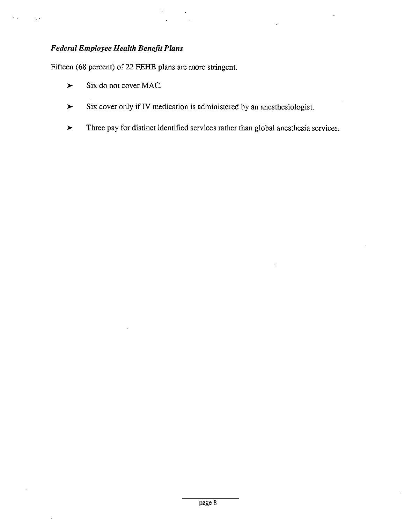## Federal Employee Health Benefit Plans

 $\frac{1}{2}$ 

Fifteen (68 percent) of 22 FEHB plans are more stringent.

- Six do not cover MAC.  $\blacktriangleright$
- Six cover only if IV medication is administered by an anesthesiologist.  $\blacktriangleright$
- Three pay for distinct identified services rather than global anesthesia services.  $\blacktriangleright$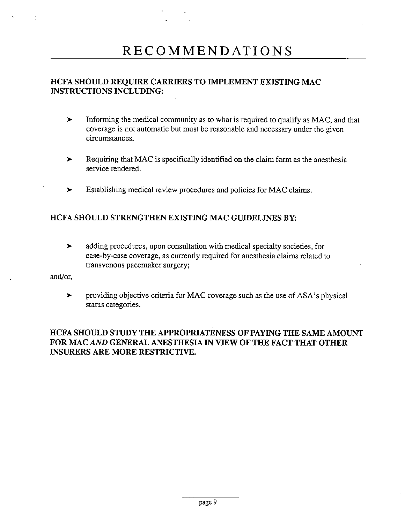## RECOMMENDATIONS

## HCFA SHOULD REQUIRE CARRIERS TO IMPLEMENT EXISTING MAC INSTRUCTIONS INCLUDING:

- Informing the medical community as to what is required to qualify as MAC, and that  $\blacktriangleright$ coverage is not automatic but must be reasonable and necessary under the given circumstances.
- Requirng that MAC is specifically identified on the claim form as the anesthesia  $\blacktriangleright$ service rendered.
- Establishing medical review procedures and policies for MAC claims.  $\blacktriangleright$

## HCFA SHOULD STRENGTHEN EXISTING MAC GUIDELINES BY:

 $\blacktriangleright$ adding procedures, upon consultation with medical specialty societies, for case-by-case coverage, as currently required for anesthesia claims related to transvenous pacemaker surgery;

and/or

providing objective criteria for MAC coverage such as the use of ASA's physical  $\blacktriangleright$ status categories.

## HCFA SHOULD STUDY THE APPROPRIATENESS OF PAYING THE SAME AMOUNT FOR MAC AND GENERAL ANESTHESIA IN VIEW OF THE FACT THAT OTHER INSURERS ARE MORE RESTRICTIVE.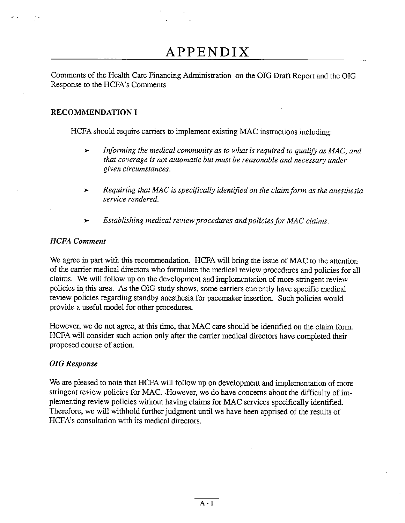## APPENDIX

Comments of the Health Care Financing Administration on the OIG Draft Report and the OIG Response to the HCFA's Comments

## RECOMMENDATION I

HCFA should require carriers to implement existing MAC instructions including:

- Informing the medical community as to what is required to qualify as MAC, and  $\blacktriangleright$ that coverage is not automatic but must be reasonable and necessary under given circumstances.
- Requiring that MAC is specifically identifed on the claim form as the anesthesia service rendered.
- Establishing medical review procedures and policies for MAC claims.  $\blacktriangleright$

## HCFA Comment

We agree in part with this recommendation. HCFA will bring the issue of MAC to the attention of the carrier medical directors who formulate the medical review procedures and policies for all claims. We wil follow up on the development and implementation of more strngent review policies in this area. As the OIG study shows, some carriers currently have specific medical review policies regarding standby anesthesia for pacemaker inserton. Such policies would provide a useful model for other procedures.

However, we do not agree, at this time, that MAC care should be identified on the claim form. HCFA will consider such action only after the carrier medical directors have completed their proposed course of action.

## OIG Response

We are pleased to note that HCFA will follow up on development and implementation of more stringent review policies for MAC. However, we do have concerns about the difficulty of implementing review policies without having claims for MAC services specifically identified. Therefore, we will withhold further judgment until we have been apprised of the results of HCFA's consultation with its medical directors.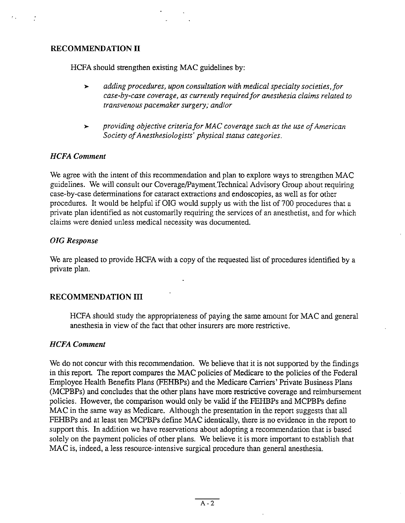#### RECOMMENDATION II

 $\ddot{\cdot}$ 

HCFA should strengthen existing MAC guidelines by:

- $\blacktriangleright$ adding procedures, upon consultation with medical specialty societies,for case-by-case coverage, as currently required for anesthesia claims related to transvenous pacemaker surgery; and/or
- providing objective criteria for MAC coverage such as the use of American  $\blacktriangleright$ Society of Anesthesiologists' physical status categories.

#### HCFA Comment

We agree with the intent of this recommendation and plan to explore ways to strengthen MAC guidelines. We will consult our Coverage/Payment Technical Advisory Group about requiring case-by-case determinations for cataact extractions and endoscopies, as well as for other procedures. It would be helpful if OIG would supply us with the list of 700 procedures that a private plan identified as not customarly requirng the services of an anesthetist, and for which claims were denied unless medical necessity was documented.

#### OIG Response

We are pleased to provide HCFA with a copy of the requested list of procedures identified by a private plan.

## RECOMMENDATION III

HCFA should study the appropriateness of paying the same amount for MAC and general anesthesia in view of the fact that other insurers are more restrictive.

#### HCFA Comment

We do not concur with this recommendation. We believe that it is not supported by the findings in this report. The report compares the MAC policies of Medicare to the policies of the Federal Employee Health Benefits Plans (FEHBPs) and the Medicare Carriers' Private Business Plans (MCPBPs) and concludes that the other plans have more restrictive coverage and reimbursement policies. However, the comparson would only be vald if the FEHBPs and MCPBPs define MAC in the same way as Medicare. Although the presentation in the report suggests that all FEHBPs and at least ten MCPBPs define MAC identically, there is no evidence in the report to support this. In addition we have reservations about adopting a recommendation that is based solely on the payment policies of other plans. We believe it is more important to establish that MAC is, indeed, a less resource-intensive surgical procedure than general anesthesia.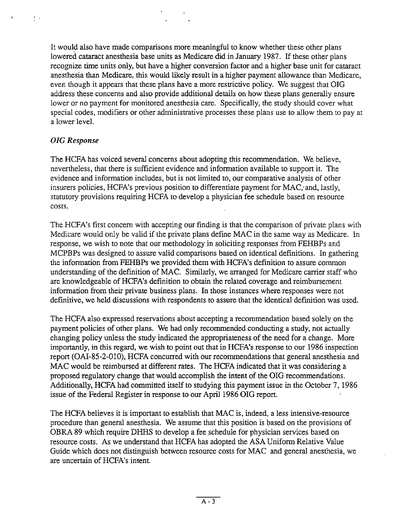It would also have made comparisons more meaningful to know whether these other plans lowered cataract anesthesia base units as Medicare did in January 1987. If these other plans recognize time units only, but have a higher conversion factor and a higher base unit for cataract anesthesia than Medicare, this would likely result in a higher payment allowance than Medicare even though it appears that these plans have a more restrictive policy. We suggest that OIG address these concerns and also provide additional detals on how these plans generally ensure lower or no payment for monitored anesthesia care. Specifically, the study should cover what special codes, modifiers or other administrative processes these plans use to allow them to pay at a lower level.

## OIG Response

 $\frac{1}{2}$  .

The HCFA has voiced several concerns about adopting this recommendation. We believe, nevertheless, that there is sufficient evidence and information available to support it. The evidence and information includes, but is not limited to, our comparative analysis of other insurers policies, HCFA's previous position to differentiate payment for MAC, and, lastly, statutory provisions requiring HCFA to develop a physician fee schedule based on resource costs.

The HCFA's first concern with accepting our finding is that the comparison of private plans with Medicare would only be valid if the private plans define MAC in the same way as Medicare. response, we wish to note that our methodology in soliciting responses from FEHBPs and MCPBPs was designed to assure valid comparsons based on identical definitions. In gathering the information from FEHBPs we provided them with HCFA's definition to assure common understanding of the definition of MAC. Similarly, we arranged for Medicare carrier staff who are knowledgeable of HCFA's definition to obtain the related coverage and reimbursement information from their private business plans. In those instances where responses were not definitive, we held discussions with respondents to assure that the identical definition was used.

The HCFA also expressed reservations about accepting a recommendation based solely on the payment policies of other plans. We had only recommended conducting a study, not actually changing policy unless the study indicated the appropriateness of the need for a change. More importantly, in this regard, we wish to point out that in HCFA's response to our 1986 inspection report (OAI-85-2-010), HCFA concurred with our recommendations that general anesthesia and MAC would be reimbursed at different rates. The HCFA indicated that it was considering a proposed regulatory change that would accomplish the intent of the OIG recommendations. Additionally, HCFA had committed itself to studying this payment issue in the October 7, 1986 issue of the Federal Register in response to our April 1986 OIG report.

The HCFA believes it is important to establish that MAC is, indeed, a less intensive-resource procedure than general anesthesia. We assume that this position is based on the provisions of OBRA 89 which require DHHS to develop a fee schedule for physician services based on resource costs. As we understand that HCFA has adopted the ASA Uniform Relative Value Guide which does not distinguish between resource costs for MAC and general anesthesia, we are uncertain of HCFA's intent.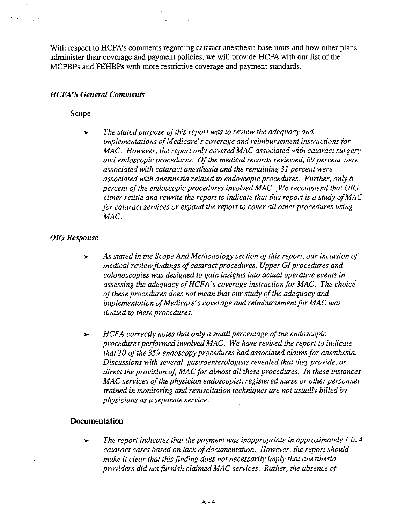With respect to HCFA's comments regarding cataract anesthesia base units and how other plans administer their coverage and payment policies, we will provide HCFA with our list of the MCPBPs and FEHBPs with more restrictive coverage and payment standards.

#### **HCFA'S General Comments**

#### Scope

Contractor of the

The stated purpose of this report was to review the adequacy and  $\blacktriangleright$ implementations of Medicare's coverage and reimbursement instructions for MAC. However, the report only covered MAC associated with cataract surgery and endoscopic procedures. Of the medical records reviewed, 69 percent were associated with cataract anesthesia and the remaining 31 percent were associated with anesthesia related to endoscopic procedures. Further, only 6 percent of the endoscopic procedures involved MAC. We recommend that OIG either retitle and rewrite the report to indicate that this report is a study of MAC for cataract services or expand the report to cover all other procedures using MAC.

#### OIG Response

- As stated in the Scope And Methodology section of this report, our inclusion of  $\blacktriangleright$ medical review findings of cataract procedures, Upper GI procedures and colonoscopies was designed to gain insights into actual operative events in assessing the adequacy of HCFA's coverage instruction for MAC. The choice of these procedures does not mean that our study of the adequacy and implementation of Medicare's coverage and reimbursement for MAC was limited to these procedures.
- HCFA correctly notes that only a small percentage of the endoscopic  $\blacktriangleright$ procedures performed involved MAC. We have revised the report to indicate that 20 of the 359 endoscopy procedures had associated claims for anesthesia. Discussions with several gastroenterologists revealed that they provide, or direct the provision of, MAC for almost all these procedures. In these instances MAC services of the physician endoscopist, registered nurse or other personnel trained in monitoring and resuscitation techniques are not usually biled by physicians as a separate service.

#### Documentation

The report indicates that the payment was inappropriate in approximately  $I$  in  $4$  $\ddot{\phantom{1}}$ cataract cases based on lack of documentation. However, the report should make it clear that this finding does not necessarily imply that anesthesia providers did not furnish claimed MAC services. Rather, the absence of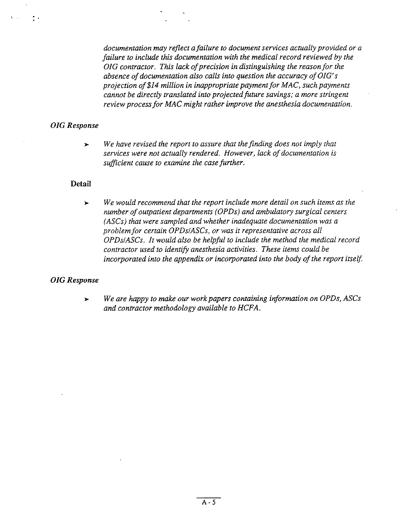documentation may reflect a failure to document services actually provided or a failure to include this documentation with the medical record reviewed by the OIG contractor. This lack of precision in distinguishing the reason for the absence of documentation also calls into question the accuracy of O/G' projection of \$/4 milion in inappropriate payment for MAC, such payments cannot be directly translated into projected future savings; a more stringent review process for MAC might rather improve the anesthesia documentation,

#### **OIG** Response

机动力 建平

We have revised the report to assure that the finding does not imply that  $\blacktriangleright$ services were not actually rendered, However, lack of documentation is sufficient cause to examine the case further.

#### Detail

We would recommend that the report include more detail on such items as the  $\blacktriangleright$ number of outpatient departments (OPDs) and ambulatory surgical centers (ASCs) that were sampled and whether inadequate documentation was a problem for certain OPDs/ASCs, or was it representative across all OPDs/ASCs. It would also be helpful to include the method the medical record contractor used to identify anesthesia activities. These items could be incorporated into the appendix or incorporated into the body of the report itself

#### OIG Response

We are happy to make our work papers containing information on OPDs, ASCs  $\blacktriangleright$ and contractor methodology available to HCFA.